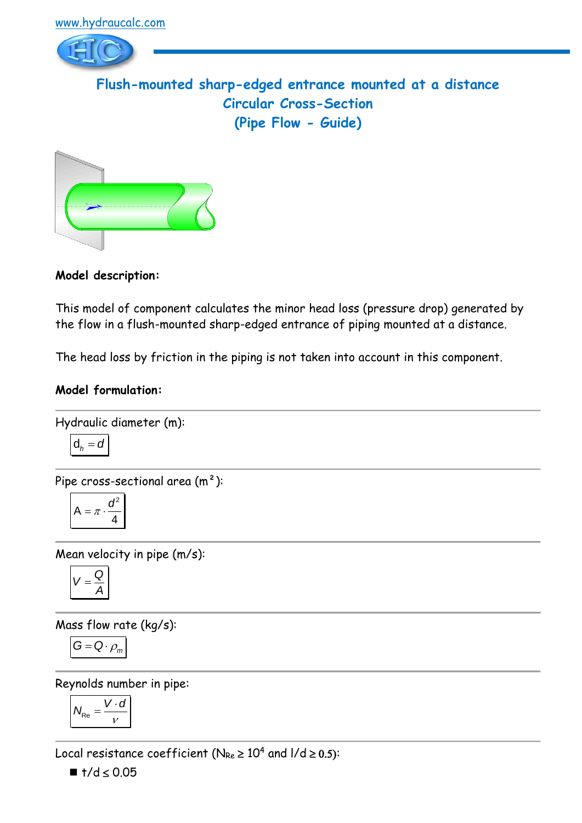

**Flush-mounted sharp-edged entrance mounted at a distance Circular Cross-Section (Pipe Flow - Guide)**



**Model description:**

This model of component calculates the minor head loss (pressure drop) generated by the flow in a flush-mounted sharp-edged entrance of piping mounted at a distance.

The head loss by friction in the piping is not taken into account in this component.

### **Model formulation:**

Hydraulic diameter (m):

$$
\mathsf{d}_h = \mathsf{d}
$$

Pipe cross-sectional area (m²):

$$
A = \pi \cdot \frac{d^2}{4}
$$

Mean velocity in pipe (m/s):

$$
V=\frac{Q}{A}
$$

Mass flow rate (kg/s):

$$
G = Q \cdot \rho_m
$$

Reynolds number in pipe:

$$
N_{\text{Re}} = \frac{V \cdot d}{v}
$$

Local resistance coefficient ( $N_{Re} \ge 10^4$  and  $1/d \ge 0.5$ ):

 $\blacksquare$  t/d  $\leq$  0.05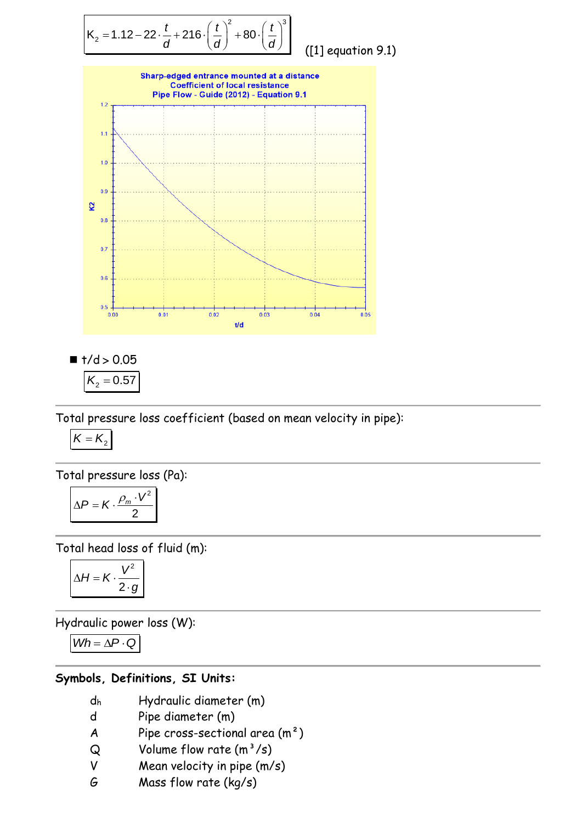

([1] equation 9.1)



 $\blacksquare$  t/d > 0.05  $K_{2} = 0.57$ 

Total pressure loss coefficient (based on mean velocity in pipe):

$$
K=K_2
$$

Total pressure loss (Pa):

$$
\Delta P = K \cdot \frac{\rho_m \cdot V^2}{2}
$$

Total head loss of fluid (m):

$$
\Delta H = K \cdot \frac{V^2}{2 \cdot g}
$$

Hydraulic power loss (W):

$$
Wh = \Delta P \cdot Q
$$

## **Symbols, Definitions, SI Units:**

- d<sup>h</sup> Hydraulic diameter (m)
- d Pipe diameter (m)
- A Pipe cross-sectional area  $(m<sup>2</sup>)$
- $Q$  Volume flow rate  $(m^3/s)$
- V Mean velocity in pipe (m/s)
- G Mass flow rate (kg/s)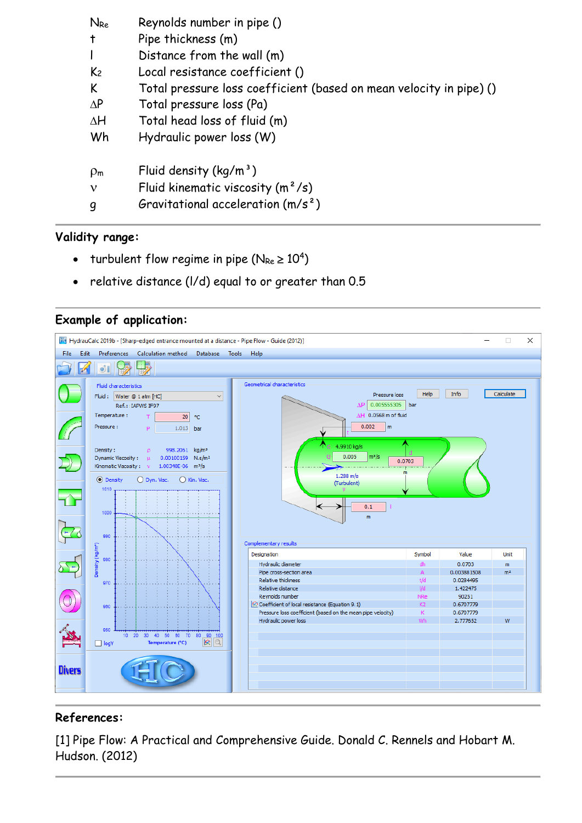| $N_{Re}$       | Reynolds number in pipe ()                                          |
|----------------|---------------------------------------------------------------------|
| $\ddagger$     | Pipe thickness (m)                                                  |
|                | Distance from the wall (m)                                          |
| K <sub>2</sub> | Local resistance coefficient ()                                     |
| K              | Total pressure loss coefficient (based on mean velocity in pipe) () |
| $\Delta P$     | Total pressure loss (Pa)                                            |
| $\Delta H$     | Total head loss of fluid (m)                                        |
| Wh             | Hydraulic power loss (W)                                            |
| $\rho_{\rm m}$ | Fluid density $(kq/m^3)$                                            |
| $\mathbf{v}$   | Fluid kinematic viscosity $(m^2/s)$                                 |
| q              | Gravitational acceleration $(m/s^2)$                                |

# **Validity range:**

- turbulent flow regime in pipe ( $N_{Re} \ge 10^4$ )
- relative distance (l/d) equal to or greater than 0.5



### **Example of application:**

### **References:**

[1] Pipe Flow: A Practical and Comprehensive Guide. Donald C. Rennels and Hobart M. Hudson. (2012)